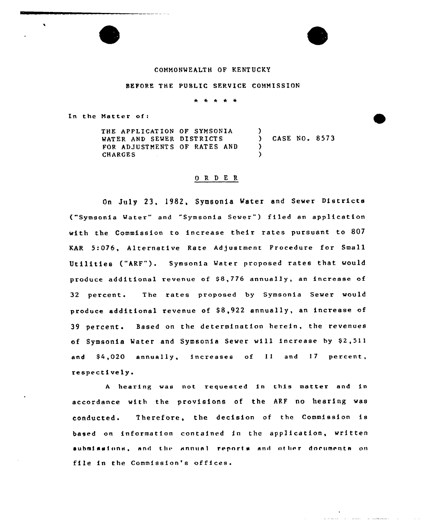# COMMONWEALTH OF KENTUCKY

#### BEFORE THE PUBLIC SERVICE COMMISSION

\* \* \* \* \*

In the Natter of:

 $\blacksquare$ 

THE APPLICATION OF SYHSONIA WATER AND SEWER DISTRICTS FOR ADJUSTMENTS OF RATES AND CHARGES ) ) CASE NO. 8573 ) )

## 0 R <sup>D</sup> E R

On July 23, 1982, Symsonia Water and Sewer Districts ("Symsonia Water" and "Symsonia Sewer") filed an application with the Commission to increase their rates pursuant to 807 KAR 5:076, Alternative Rate Adjustment Procedure for Small Utilities ("ARF"). Symsonia Mater proposed rates that would produce additional revenue of \$8,776 annually, an increase of 32 percent. The rates proposed by Symsonia Sewer would produce additional revenue of \$8,922 annually, an increase of 39 percent. Based on the determination herein, the revenues of Symsonia Water and Symsonia Sewer will increase by \$2,511 and \$4,020 annually, increases of 11 and 17 percent, respectively <sup>~</sup>

<sup>A</sup> bearing was not requested in this matter and in accordance with the provisions of the ARF no hearing was conducted. Therefore, the decision of the Commission is based on information contained in the application, written aubmisaions, and the annual reports and other documents on file in the Commission's offices.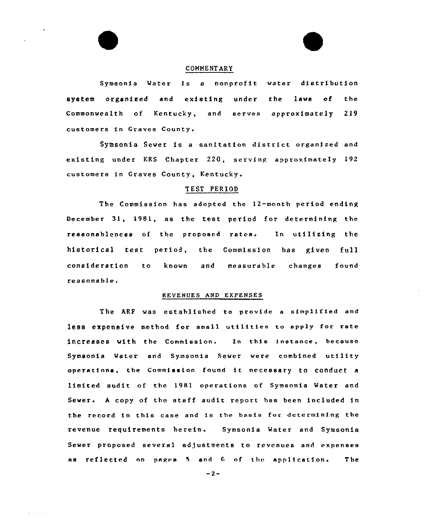### COMMENTARY

Symsonia Water is <sup>a</sup> nonprofit water distribution system organized and existing under the laws of the Commonwealth of Kentucky, and serves approximately 219 customers in Graves County.

Symsonia Sewer is <sup>a</sup> sanitation district organized and existing under KRS Chapter 220, serving approximately 192 customers in Graves County, Kentucky.

# T EST PERIOD

The Commission has adopted the 12-month period ending December 31, 1981, as the test period for determining the reasonableness of the proposed rates. In utilizing the historical test period, the Commission has given full consideration to known and measurable changes found reasonable.

## REVENUES AND EXPENSES

The ARF was established to provide a simplified and less expensive method for sma11 utilities to apply for rate increases with the commission. In this instance, because Symsonia Mater snd Symsonia Sewer were combined utility operations, the Commission found it necessary to conduct a limited audit of the 1981 operations of Symsonia Water and Sewer. <sup>A</sup> copy of the staff audit report has been included in the record in this case and is the basis for determining the revenue requirements herein. Symsonia Mater and Symsonia Sewer proposed several adjustments to revenues and expenses as reflected on pages 5 and 6 of the application. The

 $-2-$ 

والمتحدث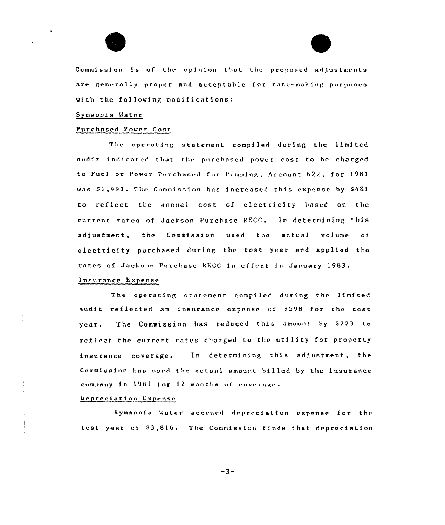



Commission is of the opinion that the proposed adjustments are generally proper and acceptable for rate-making purposes with the following modifications:

### Symsonia Mater

#### Purchased Power Cost

The operating statement compiled during the limited audit indicated that the purchased power cost to be charged to Fuel or Power Purchased for Pumping, Account 622, for 1981 was \$1,491. The Commission has increased this expense by \$481 to reflect the annual cost of electricity based on the current rates of Jackson Purchase RECC. In determining this adjustment, the Commission used the actual volume of electricity purchased during the test year and applied the rates of Jackson Purchase RECC in effect in January 1983.

### Insurance Expense

The operating statement compiled during the limited audit reflected an insurance expense of \$598 for the test year. The Commission has reduced this amount by \$223 to reflect the current rates charged to the utility for property insurance coverage. In determining this adjustment, the Commission has used the actual amount billed by the insurance company in 1981 for 12 months of coverage.

### Depreciation Expense

Symsonia Water accrued depreciation expense for the test year of \$3,816. The Commission finds that depreciation

 $-3-$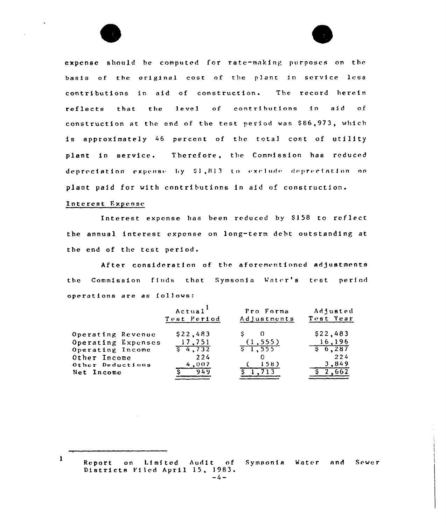expense should be computed for rate-making purposes on the basis of the original cost of the plant in service less contributions in aid of construction. The record herein reflects that the level of contributions in aid  $\circ f$ construction at the end of the test period was \$86,973, which is approximately 46 percent of the total cost of utility plant in service. Therefore, the Commission has reduced depreciation expense by \$1,813 to exclude depreciation on plant paid for with contributions in aid of construction.

## Interest Expense

1

Interest expense has been reduced by \$158 to reflect the annual interest expense on long-term debt outstanding at the end of the test period.

After consideration of the aforementioned adjustments the Commission finds that Symsonia Water's test period operations are as follows:

|                    | Actual <sup>1</sup><br>Test Period | Pro Forma<br>Adjustments | Adjusted<br>Test Year |
|--------------------|------------------------------------|--------------------------|-----------------------|
| Operating Revenue  | \$22,483                           |                          | \$22,483              |
| Operating Expenses | 17,751                             | (1, 555)                 | 16,196                |
| Operating Income   | $\sqrt{6}$ 4,732                   | 51,555                   | \$6,287               |
| Other Income       | 224                                |                          | 224                   |
| Other Deductions   | 4,007                              | 158                      | 3,849                 |
| Net Income         | 949                                |                          |                       |

on Limited Audit of Symsonia Water and Report Sewer Districts Filed April 15, 1983.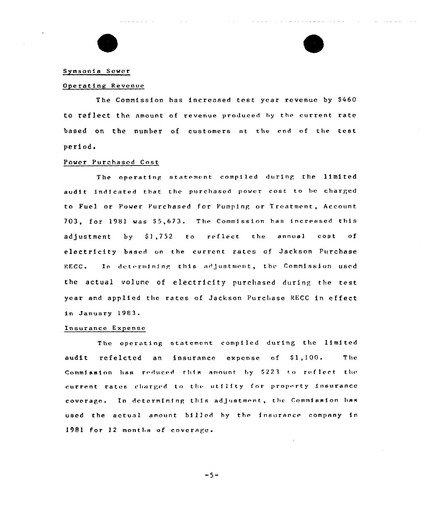

## Symsonia Sewer

#### Operating Revenue

The Commission has increased test year revenue by \$460 to reflect the amount of revenue produced hy the current rate based on the number of customers nt the end of the test period.

المالي سوادا الواردة

### Power Purchased Cost

The operating statement compiled during the limited audit indicated that the purchased power cost to be charged to Fuel or Power Purchased for Pumping or Treatment, Accoun 703, for 1981 was \$5,673. The Commission has increased this adjustment by 91,752 to reflect the annual cost of electricity based on the current rates of Jackson Purchase RECC. dot a strategic state of the state of the state of the state of the state of the state of the state of the state of the state of the state of the state of the state of the state of the state of the state of the state of th In determining this adjustment, the Commission used the actual volume of electricity purcliased during the test year and applied thc rates of Jackson Purchase RECC in effect in January 1983.

## Insurance Expense

The operating statement compiled during thc limited audit refelcted an insurance expense of \$1,100. The Commission has reduced this amount by \$223 to reflect the current rates charged to the utility for property insurance coverage. In determining this adjustment, the Commission has used the actual amount billed by the insurance company in 1981 for 12 months of coverage.

 $-5-$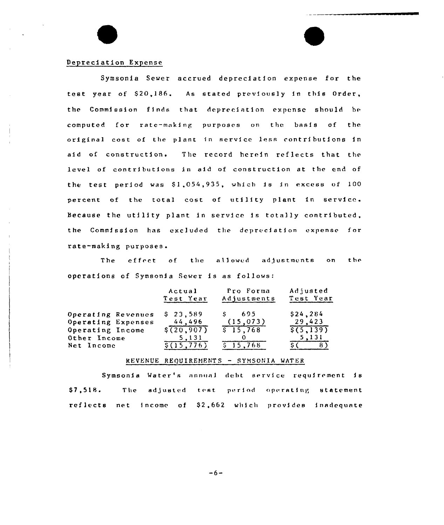# Depreciation Expense

Symsonia Sewer accrued depreciation expense for the test year of \$20,186. As stated previously in this Order, the Commission finds that depreciation expense should be computed for rate —making purposes on the basis of the original cost of the plant in service less contributions in aid of construction. The record herein reflects that the level of contributions in aid of construction at the end of the test period was  $$1,054,935$ , which is in excess of  $100$ percent of the total cost of utility plant in service. Because the utility plant in service is totally contributed, the Commission has excluded the depreciation expense for tate-waking purposes.

The effect of the allowed adjustments on the operations of Symsonia Sewer is as follows:

|                    | Actual<br>Test Year | Pro Forma<br>Adjustments | Adjusted<br>Test Year |  |
|--------------------|---------------------|--------------------------|-----------------------|--|
| Operating Revenues | \$23,589            | 695                      | \$24, 284             |  |
| Operating Expenses | 44,496              | (15, 073)                | 29,423                |  |
| Operating Income   | $\S(20, 907)$       | \$15,768                 | \$(5,139)             |  |
| Other Income       | 5,131               |                          | 5,131                 |  |
| Net Income         | S(15.776)           | \$15,768                 |                       |  |

## REVENUE REQUIREMENTS - SYMSONIA WATER

Symsonia Water's annual debt service requirrment is \$7,518. The adjusted test period operating statement reflects net income of S2,662 which provides inadequate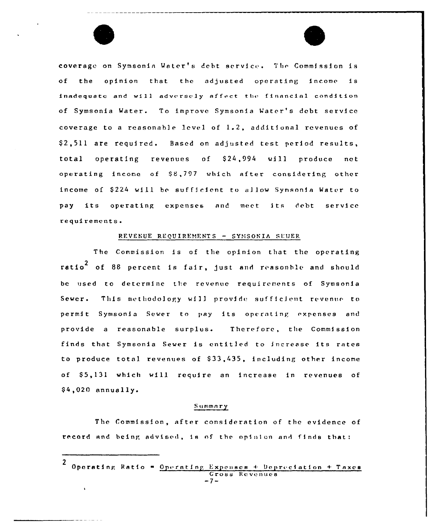

#### REVENUE REQUIREMENTS - SYMSONIA SEVER

The Commission is of the opinion that the operating ratio<sup>2</sup> of 88 percent is fair, just and reasonble and should be used to determine the revenue requirements of Symsonia Sewer. This methodology will provide sufficient revenue to permit Symsonia Sewer to pay its operating expenses and provide a reasonable surplus. Therefore, the Commission finds that Symsonia Sewer is entitled to increase its rates to produce total revenues of \$33,435, including other income of \$5,131 which will require an increase in revenues of  $$4,020$  annually.

#### Summary

The Commission, after consideration of the evidence of record and being advised, is of the opinion and finds that:

Operating Ratio - Operating Expenses + Depreciation + Taxes Gross Revenues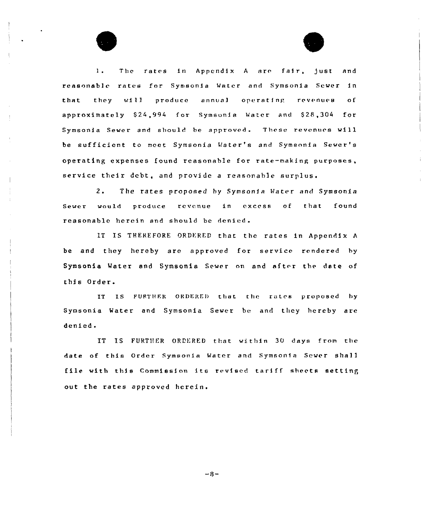1. The rates in Appendix A are fair, just and reasonable rates for Symsonia Water and Symsonia Sewer in that they will produce annual operating revenues of approximately \$24,994 for Symsonia Water and \$28,304 for Symsonia Sever and should be approved. These revenues will be sufficient to meet Symsonia Water's and Symsonia Sewer '8 operating expenses found reasonable for rate-making purposes, service their debt, and provide a reasonable surplus.

2. The rates proposed by Symsonia Water and Symsonia Sewer would produce revenue in excess of that found reasonable herein and should be denied.

IT IS THEREFORE ORDERED that the rates in Appendix A be and they hereby are approved for service rendered by Symsonia Water and Symsonia Sewer on and after the date of this Order.

IT IS FURTHER ORDERED that the rates proposed by Symsonia Water and Symsonia Sewer be and they hereby are denied.

IT IS FURTHER ORDERED that within 30 days from the date of this Order Symsonia Water and Symsonia Sewer shall file with this Commission its revised tariff sheets setting out the rates approved herein.

 $-8-$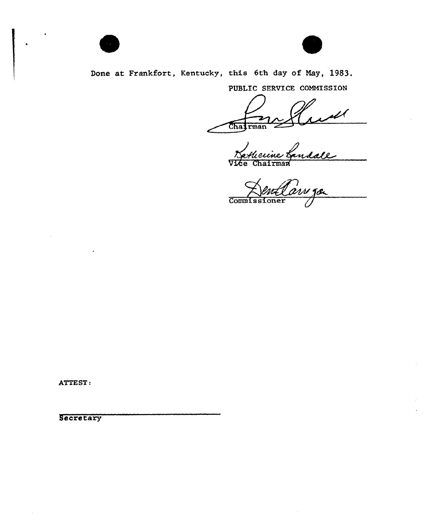



Done at Frankfort, Kentucky, this 6th day of May, 1983.

PUBLIC SERVICE COMMISSION

ul Chairman

andale Vī

Æе Chairman

ive ga Commissioner

ATTEST:

Secretary